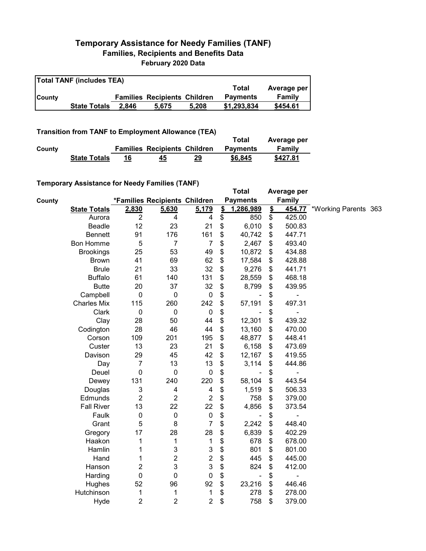## **Temporary Assistance for Needy Families (TANF) Families, Recipients and Benefits Data February 2020 Data**

| <b>Total TANF (includes TEA)</b> |                     |       |                                     |       |                 |             |  |  |
|----------------------------------|---------------------|-------|-------------------------------------|-------|-----------------|-------------|--|--|
|                                  |                     |       |                                     |       | Total           | Average per |  |  |
| <b>County</b>                    |                     |       | <b>Families Recipients Children</b> |       | <b>Payments</b> | Family      |  |  |
|                                  | <b>State Totals</b> | 2.846 | 5.675                               | 5.208 | \$1,293,834     | \$454.61    |  |  |

**Transition from TANF to Employment Allowance (TEA)**

|        |                     |                                     |    | Total           | Average per |
|--------|---------------------|-------------------------------------|----|-----------------|-------------|
| County |                     | <b>Families Recipients Children</b> |    | <b>Payments</b> | Family      |
|        | <b>State Totals</b> | 45                                  | 29 | \$6,845         | \$427.81    |

## **Temporary Assistance for Needy Families (TANF)**

|        | $1$ chiporary Assistance for Needy Families (TANT) |                  |                               |                           |                           | <b>Total</b>                 |               | Average per |                      |  |
|--------|----------------------------------------------------|------------------|-------------------------------|---------------------------|---------------------------|------------------------------|---------------|-------------|----------------------|--|
| County |                                                    |                  | *Families Recipients Children |                           |                           | <b>Payments</b>              |               | Family      |                      |  |
|        | <b>State Totals</b>                                | 2,830            | 5,630                         | 5,179                     | $\mathbf{\underline{\$}}$ | 1,286,989                    | $\frac{2}{3}$ | 454.77      | *Working Parents 363 |  |
|        | Aurora                                             | $\overline{2}$   | 4                             | 4                         | \$                        | 850                          | \$            | 425.00      |                      |  |
|        | <b>Beadle</b>                                      | 12               | 23                            | 21                        | \$                        | 6,010                        | \$            | 500.83      |                      |  |
|        | <b>Bennett</b>                                     | 91               | 176                           | 161                       | \$                        | 40,742                       | \$            | 447.71      |                      |  |
|        | Bon Homme                                          | 5                | $\overline{7}$                | $\overline{7}$            | \$                        | 2,467                        | \$            | 493.40      |                      |  |
|        | <b>Brookings</b>                                   | 25               | 53                            | 49                        | \$                        | 10,872                       | \$            | 434.88      |                      |  |
|        | <b>Brown</b>                                       | 41               | 69                            | 62                        | \$                        | 17,584                       | \$            | 428.88      |                      |  |
|        | <b>Brule</b>                                       | 21               | 33                            | 32                        | \$                        | 9,276                        | \$            | 441.71      |                      |  |
|        | <b>Buffalo</b>                                     | 61               | 140                           | 131                       | \$                        | 28,559                       | \$            | 468.18      |                      |  |
|        | <b>Butte</b>                                       | 20               | 37                            | 32                        | \$                        | 8,799                        | \$            | 439.95      |                      |  |
|        | Campbell                                           | $\mathbf 0$      | $\mathbf 0$                   | $\pmb{0}$                 | \$                        |                              | \$            |             |                      |  |
|        | <b>Charles Mix</b>                                 | 115              | 260                           | 242                       | \$                        | 57,191                       | \$            | 497.31      |                      |  |
|        | Clark                                              | $\boldsymbol{0}$ | $\mathbf 0$                   | $\pmb{0}$                 | \$                        |                              | \$            |             |                      |  |
|        | Clay                                               | 28               | 50                            | 44                        | \$                        | 12,301                       | \$            | 439.32      |                      |  |
|        | Codington                                          | 28               | 46                            | 44                        | \$                        | 13,160                       | \$            | 470.00      |                      |  |
|        | Corson                                             | 109              | 201                           | 195                       | \$                        | 48,877                       | \$            | 448.41      |                      |  |
|        | Custer                                             | 13               | 23                            | 21                        | \$                        | 6,158                        | \$            | 473.69      |                      |  |
|        | Davison                                            | 29               | 45                            | 42                        | \$                        | 12,167                       | \$            | 419.55      |                      |  |
|        | Day                                                | $\overline{7}$   | 13                            | 13                        | \$                        | 3,114                        | \$            | 444.86      |                      |  |
|        | Deuel                                              | $\mathbf 0$      | $\mathbf 0$                   | $\pmb{0}$                 | \$                        |                              | \$            |             |                      |  |
|        | Dewey                                              | 131              | 240                           | 220                       | \$                        | 58,104                       | \$            | 443.54      |                      |  |
|        | Douglas                                            | 3                | $\overline{4}$                | 4                         | \$                        | 1,519                        | \$            | 506.33      |                      |  |
|        | Edmunds                                            | $\overline{c}$   | $\overline{2}$                | $\boldsymbol{2}$          | \$                        | 758                          | \$            | 379.00      |                      |  |
|        | <b>Fall River</b>                                  | 13               | 22                            | 22                        | \$                        | 4,856                        | \$            | 373.54      |                      |  |
|        | Faulk                                              | $\boldsymbol{0}$ | $\boldsymbol{0}$              | $\pmb{0}$                 | \$                        |                              | \$            |             |                      |  |
|        | Grant                                              | 5                | 8                             | $\overline{7}$            | \$                        | 2,242                        | \$            | 448.40      |                      |  |
|        | Gregory                                            | 17               | 28                            | 28                        | \$                        | 6,839                        | \$            | 402.29      |                      |  |
|        | Haakon                                             | 1                | 1                             | 1                         | \$                        | 678                          | \$            | 678.00      |                      |  |
|        | Hamlin                                             | 1                | 3                             | $\ensuremath{\mathsf{3}}$ | \$                        | 801                          | \$            | 801.00      |                      |  |
|        | Hand                                               | 1                | $\overline{c}$                | $\overline{\mathbf{c}}$   | \$                        | 445                          | \$            | 445.00      |                      |  |
|        | Hanson                                             | 2                | 3                             | 3                         | \$                        | 824                          | \$            | 412.00      |                      |  |
|        | Harding                                            | $\mathbf 0$      | $\mathbf 0$                   | $\pmb{0}$                 | \$                        | $\qquad \qquad \blacksquare$ | \$            |             |                      |  |
|        | Hughes                                             | 52               | 96                            | 92                        | \$                        | 23,216                       | \$            | 446.46      |                      |  |
|        | Hutchinson                                         | 1                | 1                             | 1                         | \$                        | 278                          | \$            | 278.00      |                      |  |
|        | Hyde                                               | $\overline{c}$   | $\overline{c}$                | $\overline{c}$            | \$                        | 758                          | \$            | 379.00      |                      |  |